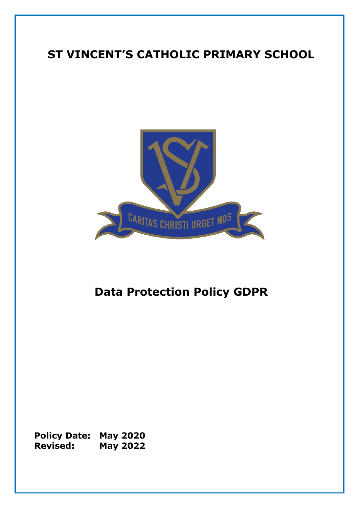# **ST VINCENT'S CATHOLIC PRIMARY SCHOOL**



# **Data Protection Policy GDPR**

**Policy Date: May 2020 Revised: May 2022**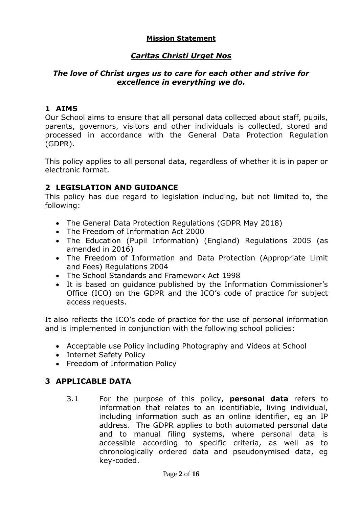#### **Mission Statement**

# *Caritas Christi Urget Nos*

#### *The love of Christ urges us to care for each other and strive for excellence in everything we do.*

### **1 AIMS**

Our School aims to ensure that all personal data collected about staff, pupils, parents, governors, visitors and other individuals is collected, stored and processed in accordance with the General Data Protection Regulation (GDPR).

This policy applies to all personal data, regardless of whether it is in paper or electronic format.

## **2 LEGISLATION AND GUIDANCE**

This policy has due regard to legislation including, but not limited to, the following:

- The General Data Protection Regulations (GDPR May 2018)
- The Freedom of Information Act 2000
- The Education (Pupil Information) (England) Regulations 2005 (as amended in 2016)
- The Freedom of Information and Data Protection (Appropriate Limit and Fees) Regulations 2004
- The School Standards and Framework Act 1998
- It is based on guidance published by the Information Commissioner's Office (ICO) on the GDPR and the ICO's code of practice for subject access requests.

It also reflects the ICO's code of practice for the use of personal information and is implemented in conjunction with the following school policies:

- Acceptable use Policy including Photography and Videos at School
- Internet Safety Policy
- Freedom of Information Policy

#### **3 APPLICABLE DATA**

3.1 For the purpose of this policy, **personal data** refers to information that relates to an identifiable, living individual, including information such as an online identifier, eg an IP address. The GDPR applies to both automated personal data and to manual filing systems, where personal data is accessible according to specific criteria, as well as to chronologically ordered data and pseudonymised data, eg key-coded.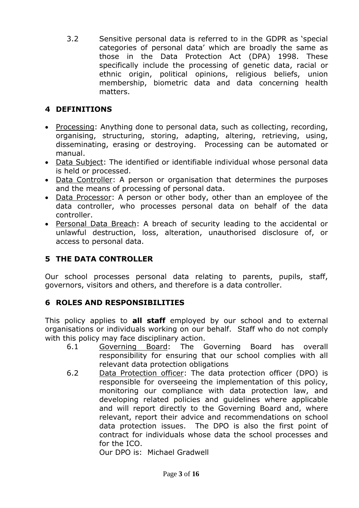3.2 Sensitive personal data is referred to in the GDPR as 'special categories of personal data' which are broadly the same as those in the Data Protection Act (DPA) 1998. These specifically include the processing of genetic data, racial or ethnic origin, political opinions, religious beliefs, union membership, biometric data and data concerning health matters.

# **4 DEFINITIONS**

- Processing: Anything done to personal data, such as collecting, recording, organising, structuring, storing, adapting, altering, retrieving, using, disseminating, erasing or destroying. Processing can be automated or manual.
- Data Subject: The identified or identifiable individual whose personal data is held or processed.
- Data Controller: A person or organisation that determines the purposes and the means of processing of personal data.
- Data Processor: A person or other body, other than an employee of the data controller, who processes personal data on behalf of the data controller.
- Personal Data Breach: A breach of security leading to the accidental or unlawful destruction, loss, alteration, unauthorised disclosure of, or access to personal data.

# **5 THE DATA CONTROLLER**

Our school processes personal data relating to parents, pupils, staff, governors, visitors and others, and therefore is a data controller.

# **6 ROLES AND RESPONSIBILITIES**

This policy applies to **all staff** employed by our school and to external organisations or individuals working on our behalf. Staff who do not comply with this policy may face disciplinary action.

- 6.1 Governing Board: The Governing Board has overall responsibility for ensuring that our school complies with all relevant data protection obligations
- 6.2 Data Protection officer: The data protection officer (DPO) is responsible for overseeing the implementation of this policy, monitoring our compliance with data protection law, and developing related policies and guidelines where applicable and will report directly to the Governing Board and, where relevant, report their advice and recommendations on school data protection issues. The DPO is also the first point of contract for individuals whose data the school processes and for the ICO.

Our DPO is: Michael Gradwell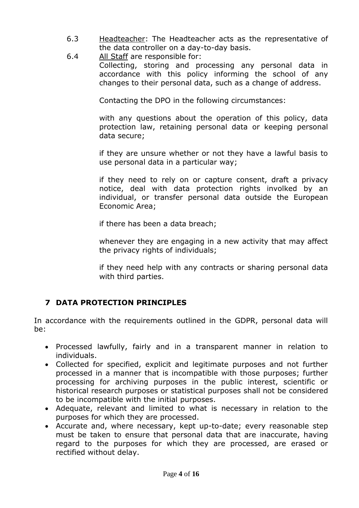- 6.3 Headteacher: The Headteacher acts as the representative of the data controller on a day-to-day basis.
- 6.4 All Staff are responsible for: Collecting, storing and processing any personal data in accordance with this policy informing the school of any changes to their personal data, such as a change of address.

Contacting the DPO in the following circumstances:

with any questions about the operation of this policy, data protection law, retaining personal data or keeping personal data secure;

if they are unsure whether or not they have a lawful basis to use personal data in a particular way;

if they need to rely on or capture consent, draft a privacy notice, deal with data protection rights involked by an individual, or transfer personal data outside the European Economic Area;

if there has been a data breach;

whenever they are engaging in a new activity that may affect the privacy rights of individuals;

if they need help with any contracts or sharing personal data with third parties.

# **7 DATA PROTECTION PRINCIPLES**

In accordance with the requirements outlined in the GDPR, personal data will be:

- Processed lawfully, fairly and in a transparent manner in relation to individuals.
- Collected for specified, explicit and legitimate purposes and not further processed in a manner that is incompatible with those purposes; further processing for archiving purposes in the public interest, scientific or historical research purposes or statistical purposes shall not be considered to be incompatible with the initial purposes.
- Adequate, relevant and limited to what is necessary in relation to the purposes for which they are processed.
- Accurate and, where necessary, kept up-to-date; every reasonable step must be taken to ensure that personal data that are inaccurate, having regard to the purposes for which they are processed, are erased or rectified without delay.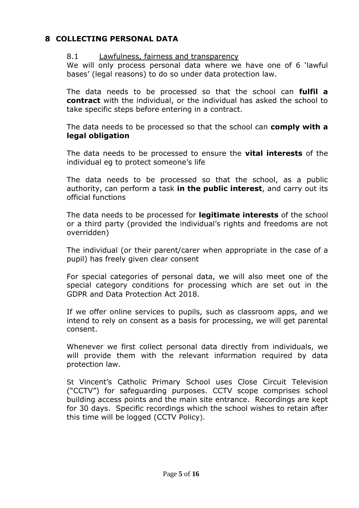## **8 COLLECTING PERSONAL DATA**

#### 8.1 Lawfulness, fairness and transparency

We will only process personal data where we have one of 6 'lawful bases' (legal reasons) to do so under data protection law.

The data needs to be processed so that the school can **fulfil a contract** with the individual, or the individual has asked the school to take specific steps before entering in a contract.

The data needs to be processed so that the school can **comply with a legal obligation**

The data needs to be processed to ensure the **vital interests** of the individual eg to protect someone's life

The data needs to be processed so that the school, as a public authority, can perform a task **in the public interest**, and carry out its official functions

The data needs to be processed for **legitimate interests** of the school or a third party (provided the individual's rights and freedoms are not overridden)

The individual (or their parent/carer when appropriate in the case of a pupil) has freely given clear consent

For special categories of personal data, we will also meet one of the special category conditions for processing which are set out in the GDPR and Data Protection Act 2018.

If we offer online services to pupils, such as classroom apps, and we intend to rely on consent as a basis for processing, we will get parental consent.

Whenever we first collect personal data directly from individuals, we will provide them with the relevant information required by data protection law.

St Vincent's Catholic Primary School uses Close Circuit Television ("CCTV") for safeguarding purposes. CCTV scope comprises school building access points and the main site entrance. Recordings are kept for 30 days. Specific recordings which the school wishes to retain after this time will be logged (CCTV Policy).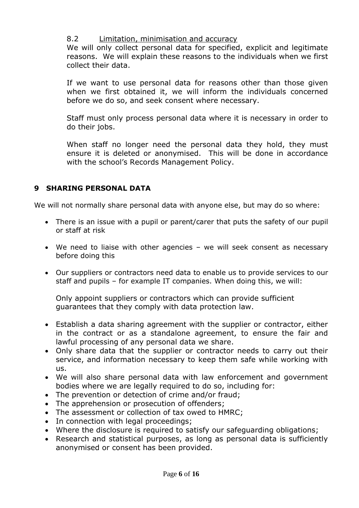#### 8.2 Limitation, minimisation and accuracy

We will only collect personal data for specified, explicit and legitimate reasons. We will explain these reasons to the individuals when we first collect their data.

If we want to use personal data for reasons other than those given when we first obtained it, we will inform the individuals concerned before we do so, and seek consent where necessary.

Staff must only process personal data where it is necessary in order to do their jobs.

When staff no longer need the personal data they hold, they must ensure it is deleted or anonymised. This will be done in accordance with the school's Records Management Policy.

## **9 SHARING PERSONAL DATA**

We will not normally share personal data with anyone else, but may do so where:

- There is an issue with a pupil or parent/carer that puts the safety of our pupil or staff at risk
- We need to liaise with other agencies we will seek consent as necessary before doing this
- Our suppliers or contractors need data to enable us to provide services to our staff and pupils – for example IT companies. When doing this, we will:

Only appoint suppliers or contractors which can provide sufficient guarantees that they comply with data protection law.

- Establish a data sharing agreement with the supplier or contractor, either in the contract or as a standalone agreement, to ensure the fair and lawful processing of any personal data we share.
- Only share data that the supplier or contractor needs to carry out their service, and information necessary to keep them safe while working with us.
- We will also share personal data with law enforcement and government bodies where we are legally required to do so, including for:
- The prevention or detection of crime and/or fraud;
- The apprehension or prosecution of offenders;
- The assessment or collection of tax owed to HMRC:
- In connection with legal proceedings;
- Where the disclosure is required to satisfy our safeguarding obligations;
- Research and statistical purposes, as long as personal data is sufficiently anonymised or consent has been provided.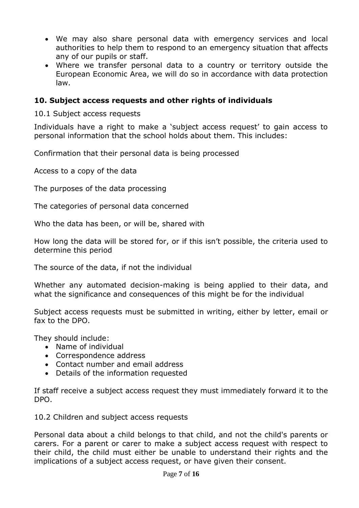- We may also share personal data with emergency services and local authorities to help them to respond to an emergency situation that affects any of our pupils or staff.
- Where we transfer personal data to a country or territory outside the European Economic Area, we will do so in accordance with data protection law.

#### **10. Subject access requests and other rights of individuals**

10.1 Subject access requests

Individuals have a right to make a 'subject access request' to gain access to personal information that the school holds about them. This includes:

Confirmation that their personal data is being processed

Access to a copy of the data

The purposes of the data processing

The categories of personal data concerned

Who the data has been, or will be, shared with

How long the data will be stored for, or if this isn't possible, the criteria used to determine this period

The source of the data, if not the individual

Whether any automated decision-making is being applied to their data, and what the significance and consequences of this might be for the individual

Subject access requests must be submitted in writing, either by letter, email or fax to the DPO.

They should include:

- Name of individual
- Correspondence address
- Contact number and email address
- Details of the information requested

If staff receive a subject access request they must immediately forward it to the DPO.

10.2 Children and subject access requests

Personal data about a child belongs to that child, and not the child's parents or carers. For a parent or carer to make a subject access request with respect to their child, the child must either be unable to understand their rights and the implications of a subject access request, or have given their consent.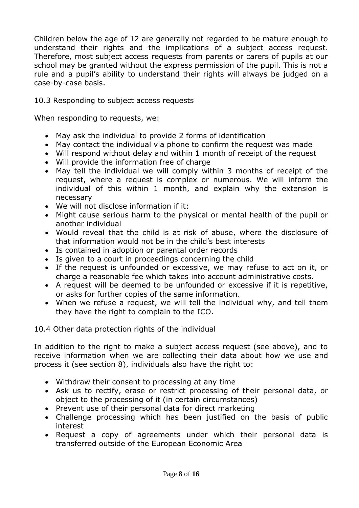Children below the age of 12 are generally not regarded to be mature enough to understand their rights and the implications of a subject access request. Therefore, most subject access requests from parents or carers of pupils at our school may be granted without the express permission of the pupil. This is not a rule and a pupil's ability to understand their rights will always be judged on a case-by-case basis.

#### 10.3 Responding to subject access requests

When responding to requests, we:

- May ask the individual to provide 2 forms of identification
- May contact the individual via phone to confirm the request was made
- Will respond without delay and within 1 month of receipt of the request
- Will provide the information free of charge
- May tell the individual we will comply within 3 months of receipt of the request, where a request is complex or numerous. We will inform the individual of this within 1 month, and explain why the extension is necessary
- We will not disclose information if it:
- Might cause serious harm to the physical or mental health of the pupil or another individual
- Would reveal that the child is at risk of abuse, where the disclosure of that information would not be in the child's best interests
- Is contained in adoption or parental order records
- Is given to a court in proceedings concerning the child
- If the request is unfounded or excessive, we may refuse to act on it, or charge a reasonable fee which takes into account administrative costs.
- A request will be deemed to be unfounded or excessive if it is repetitive, or asks for further copies of the same information.
- When we refuse a request, we will tell the individual why, and tell them they have the right to complain to the ICO.

10.4 Other data protection rights of the individual

In addition to the right to make a subject access request (see above), and to receive information when we are collecting their data about how we use and process it (see section 8), individuals also have the right to:

- Withdraw their consent to processing at any time
- Ask us to rectify, erase or restrict processing of their personal data, or object to the processing of it (in certain circumstances)
- Prevent use of their personal data for direct marketing
- Challenge processing which has been justified on the basis of public interest
- Request a copy of agreements under which their personal data is transferred outside of the European Economic Area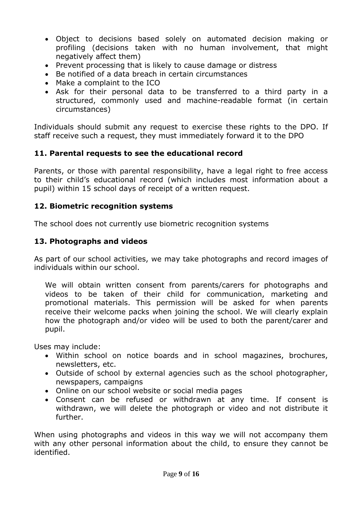- Object to decisions based solely on automated decision making or profiling (decisions taken with no human involvement, that might negatively affect them)
- Prevent processing that is likely to cause damage or distress
- Be notified of a data breach in certain circumstances
- Make a complaint to the ICO
- Ask for their personal data to be transferred to a third party in a structured, commonly used and machine-readable format (in certain circumstances)

Individuals should submit any request to exercise these rights to the DPO. If staff receive such a request, they must immediately forward it to the DPO

# **11. Parental requests to see the educational record**

Parents, or those with parental responsibility, have a legal right to free access to their child's educational record (which includes most information about a pupil) within 15 school days of receipt of a written request.

#### **12. Biometric recognition systems**

The school does not currently use biometric recognition systems

## **13. Photographs and videos**

As part of our school activities, we may take photographs and record images of individuals within our school.

We will obtain written consent from parents/carers for photographs and videos to be taken of their child for communication, marketing and promotional materials. This permission will be asked for when parents receive their welcome packs when joining the school. We will clearly explain how the photograph and/or video will be used to both the parent/carer and pupil.

Uses may include:

- Within school on notice boards and in school magazines, brochures, newsletters, etc.
- Outside of school by external agencies such as the school photographer, newspapers, campaigns
- Online on our school website or social media pages
- Consent can be refused or withdrawn at any time. If consent is withdrawn, we will delete the photograph or video and not distribute it further.

When using photographs and videos in this way we will not accompany them with any other personal information about the child, to ensure they cannot be identified.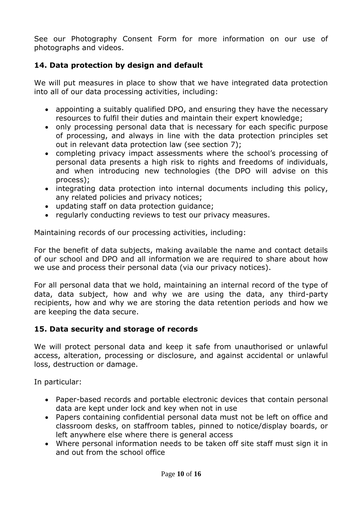See our Photography Consent Form for more information on our use of photographs and videos.

# **14. Data protection by design and default**

We will put measures in place to show that we have integrated data protection into all of our data processing activities, including:

- appointing a suitably qualified DPO, and ensuring they have the necessary resources to fulfil their duties and maintain their expert knowledge;
- only processing personal data that is necessary for each specific purpose of processing, and always in line with the data protection principles set out in relevant data protection law (see section 7);
- completing privacy impact assessments where the school's processing of personal data presents a high risk to rights and freedoms of individuals, and when introducing new technologies (the DPO will advise on this process);
- integrating data protection into internal documents including this policy, any related policies and privacy notices;
- updating staff on data protection guidance;
- regularly conducting reviews to test our privacy measures.

Maintaining records of our processing activities, including:

For the benefit of data subjects, making available the name and contact details of our school and DPO and all information we are required to share about how we use and process their personal data (via our privacy notices).

For all personal data that we hold, maintaining an internal record of the type of data, data subject, how and why we are using the data, any third-party recipients, how and why we are storing the data retention periods and how we are keeping the data secure.

#### **15. Data security and storage of records**

We will protect personal data and keep it safe from unauthorised or unlawful access, alteration, processing or disclosure, and against accidental or unlawful loss, destruction or damage.

In particular:

- Paper-based records and portable electronic devices that contain personal data are kept under lock and key when not in use
- Papers containing confidential personal data must not be left on office and classroom desks, on staffroom tables, pinned to notice/display boards, or left anywhere else where there is general access
- Where personal information needs to be taken off site staff must sign it in and out from the school office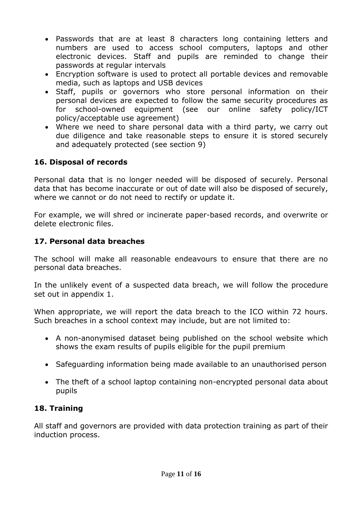- Passwords that are at least 8 characters long containing letters and numbers are used to access school computers, laptops and other electronic devices. Staff and pupils are reminded to change their passwords at regular intervals
- Encryption software is used to protect all portable devices and removable media, such as laptops and USB devices
- Staff, pupils or governors who store personal information on their personal devices are expected to follow the same security procedures as for school-owned equipment (see our online safety policy/ICT policy/acceptable use agreement)
- Where we need to share personal data with a third party, we carry out due diligence and take reasonable steps to ensure it is stored securely and adequately protected (see section 9)

## **16. Disposal of records**

Personal data that is no longer needed will be disposed of securely. Personal data that has become inaccurate or out of date will also be disposed of securely, where we cannot or do not need to rectify or update it.

For example, we will shred or incinerate paper-based records, and overwrite or delete electronic files.

## **17. Personal data breaches**

The school will make all reasonable endeavours to ensure that there are no personal data breaches.

In the unlikely event of a suspected data breach, we will follow the procedure set out in appendix 1.

When appropriate, we will report the data breach to the ICO within 72 hours. Such breaches in a school context may include, but are not limited to:

- A non-anonymised dataset being published on the school website which shows the exam results of pupils eligible for the pupil premium
- Safeguarding information being made available to an unauthorised person
- The theft of a school laptop containing non-encrypted personal data about pupils

# **18. Training**

All staff and governors are provided with data protection training as part of their induction process.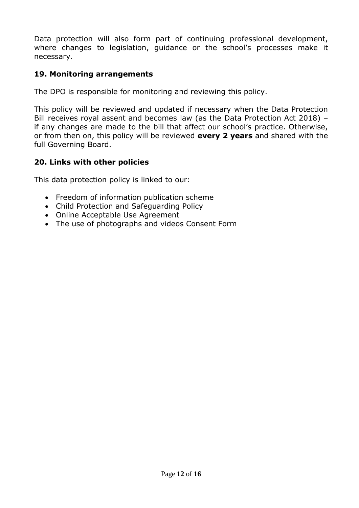Data protection will also form part of continuing professional development, where changes to legislation, guidance or the school's processes make it necessary.

## **19. Monitoring arrangements**

The DPO is responsible for monitoring and reviewing this policy.

This policy will be reviewed and updated if necessary when the Data Protection Bill receives royal assent and becomes law (as the Data Protection Act 2018) – if any changes are made to the bill that affect our school's practice. Otherwise, or from then on, this policy will be reviewed **every 2 years** and shared with the full Governing Board.

#### **20. Links with other policies**

This data protection policy is linked to our:

- Freedom of information publication scheme
- Child Protection and Safeguarding Policy
- Online Acceptable Use Agreement
- The use of photographs and videos Consent Form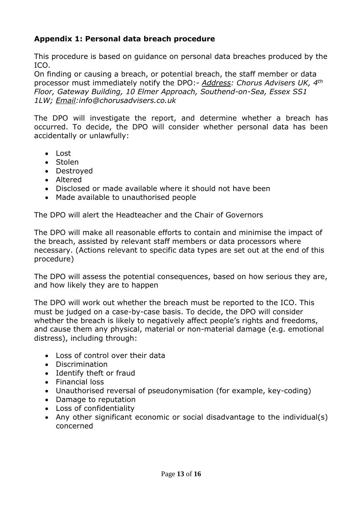# **Appendix 1: Personal data breach procedure**

This procedure is based on guidance on personal data breaches produced by the ICO.

On finding or causing a breach, or potential breach, the staff member or data processor must immediately notify the DPO:- *Address: Chorus Advisers UK, 4th Floor, Gateway Building, 10 Elmer Approach, Southend-on-Sea, Essex SS1 1LW; Email:info@chorusadvisers.co.uk*

The DPO will investigate the report, and determine whether a breach has occurred. To decide, the DPO will consider whether personal data has been accidentally or unlawfully:

- $\cdot$  Lost
- Stolen
- Destroyed
- Altered
- Disclosed or made available where it should not have been
- Made available to unauthorised people

The DPO will alert the Headteacher and the Chair of Governors

The DPO will make all reasonable efforts to contain and minimise the impact of the breach, assisted by relevant staff members or data processors where necessary. (Actions relevant to specific data types are set out at the end of this procedure)

The DPO will assess the potential consequences, based on how serious they are, and how likely they are to happen

The DPO will work out whether the breach must be reported to the ICO. This must be judged on a case-by-case basis. To decide, the DPO will consider whether the breach is likely to negatively affect people's rights and freedoms, and cause them any physical, material or non-material damage (e.g. emotional distress), including through:

- Loss of control over their data
- Discrimination
- Identify theft or fraud
- Financial loss
- Unauthorised reversal of pseudonymisation (for example, key-coding)
- Damage to reputation
- Loss of confidentiality
- Any other significant economic or social disadvantage to the individual(s) concerned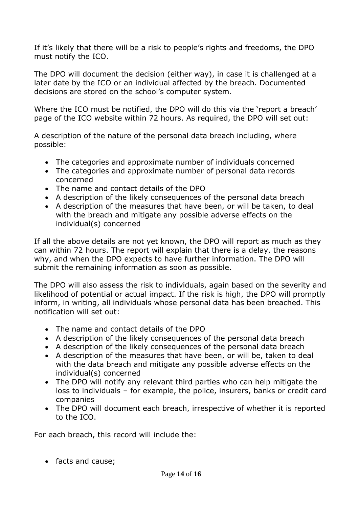If it's likely that there will be a risk to people's rights and freedoms, the DPO must notify the ICO.

The DPO will document the decision (either way), in case it is challenged at a later date by the ICO or an individual affected by the breach. Documented decisions are stored on the school's computer system.

Where the ICO must be notified, the DPO will do this via the 'report a breach' page of the ICO website within 72 hours. As required, the DPO will set out:

A description of the nature of the personal data breach including, where possible:

- The categories and approximate number of individuals concerned
- The categories and approximate number of personal data records concerned
- The name and contact details of the DPO
- A description of the likely consequences of the personal data breach
- A description of the measures that have been, or will be taken, to deal with the breach and mitigate any possible adverse effects on the individual(s) concerned

If all the above details are not yet known, the DPO will report as much as they can within 72 hours. The report will explain that there is a delay, the reasons why, and when the DPO expects to have further information. The DPO will submit the remaining information as soon as possible.

The DPO will also assess the risk to individuals, again based on the severity and likelihood of potential or actual impact. If the risk is high, the DPO will promptly inform, in writing, all individuals whose personal data has been breached. This notification will set out:

- The name and contact details of the DPO
- A description of the likely consequences of the personal data breach
- A description of the likely consequences of the personal data breach
- A description of the measures that have been, or will be, taken to deal with the data breach and mitigate any possible adverse effects on the individual(s) concerned
- The DPO will notify any relevant third parties who can help mitigate the loss to individuals – for example, the police, insurers, banks or credit card companies
- The DPO will document each breach, irrespective of whether it is reported to the ICO.

For each breach, this record will include the:

• facts and cause: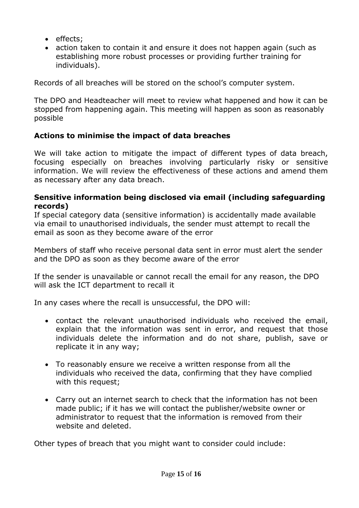- effects;
- action taken to contain it and ensure it does not happen again (such as establishing more robust processes or providing further training for individuals).

Records of all breaches will be stored on the school's computer system.

The DPO and Headteacher will meet to review what happened and how it can be stopped from happening again. This meeting will happen as soon as reasonably possible

# **Actions to minimise the impact of data breaches**

We will take action to mitigate the impact of different types of data breach, focusing especially on breaches involving particularly risky or sensitive information. We will review the effectiveness of these actions and amend them as necessary after any data breach.

#### **Sensitive information being disclosed via email (including safeguarding records)**

If special category data (sensitive information) is accidentally made available via email to unauthorised individuals, the sender must attempt to recall the email as soon as they become aware of the error

Members of staff who receive personal data sent in error must alert the sender and the DPO as soon as they become aware of the error

If the sender is unavailable or cannot recall the email for any reason, the DPO will ask the ICT department to recall it

In any cases where the recall is unsuccessful, the DPO will:

- contact the relevant unauthorised individuals who received the email, explain that the information was sent in error, and request that those individuals delete the information and do not share, publish, save or replicate it in any way;
- To reasonably ensure we receive a written response from all the individuals who received the data, confirming that they have complied with this request;
- Carry out an internet search to check that the information has not been made public; if it has we will contact the publisher/website owner or administrator to request that the information is removed from their website and deleted.

Other types of breach that you might want to consider could include: